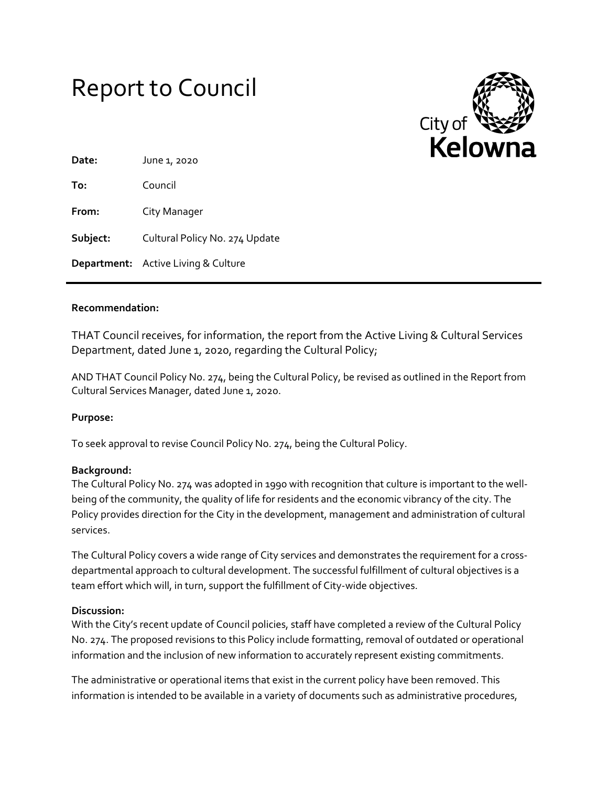



| Date:    | June 1, 2020                               |
|----------|--------------------------------------------|
| To:      | Council                                    |
| From:    | City Manager                               |
| Subject: | Cultural Policy No. 274 Update             |
|          | <b>Department:</b> Active Living & Culture |

### **Recommendation:**

THAT Council receives, for information, the report from the Active Living & Cultural Services Department, dated June 1, 2020, regarding the Cultural Policy;

AND THAT Council Policy No. 274, being the Cultural Policy, be revised as outlined in the Report from Cultural Services Manager, dated June 1, 2020.

### **Purpose:**

To seek approval to revise Council Policy No. 274, being the Cultural Policy.

### **Background:**

The Cultural Policy No. 274 was adopted in 1990 with recognition that culture is important to the wellbeing of the community, the quality of life for residents and the economic vibrancy of the city. The Policy provides direction for the City in the development, management and administration of cultural services.

The Cultural Policy covers a wide range of City services and demonstrates the requirement for a crossdepartmental approach to cultural development. The successful fulfillment of cultural objectives is a team effort which will, in turn, support the fulfillment of City-wide objectives.

### **Discussion:**

With the City's recent update of Council policies, staff have completed a review of the Cultural Policy No. 274. The proposed revisions to this Policy include formatting, removal of outdated or operational information and the inclusion of new information to accurately represent existing commitments.

The administrative or operational items that exist in the current policy have been removed. This information is intended to be available in a variety of documents such as administrative procedures,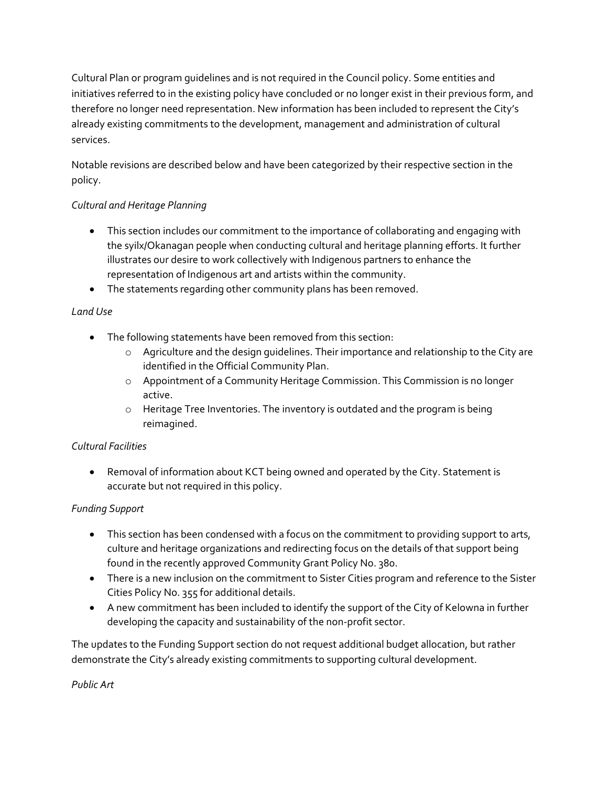Cultural Plan or program guidelines and is not required in the Council policy. Some entities and initiatives referred to in the existing policy have concluded or no longer exist in their previous form, and therefore no longer need representation. New information has been included to represent the City's already existing commitments to the development, management and administration of cultural services.

Notable revisions are described below and have been categorized by their respective section in the policy.

# *Cultural and Heritage Planning*

- This section includes our commitment to the importance of collaborating and engaging with the syilx/Okanagan people when conducting cultural and heritage planning efforts. It further illustrates our desire to work collectively with Indigenous partners to enhance the representation of Indigenous art and artists within the community.
- The statements regarding other community plans has been removed.

# *Land Use*

- The following statements have been removed from this section:
	- $\circ$  Agriculture and the design guidelines. Their importance and relationship to the City are identified in the Official Community Plan.
	- o Appointment of a Community Heritage Commission. This Commission is no longer active.
	- o Heritage Tree Inventories. The inventory is outdated and the program is being reimagined.

## *Cultural Facilities*

 Removal of information about KCT being owned and operated by the City. Statement is accurate but not required in this policy.

## *Funding Support*

- This section has been condensed with a focus on the commitment to providing support to arts, culture and heritage organizations and redirecting focus on the details of that support being found in the recently approved Community Grant Policy No. 380.
- There is a new inclusion on the commitment to Sister Cities program and reference to the Sister Cities Policy No. 355 for additional details.
- A new commitment has been included to identify the support of the City of Kelowna in further developing the capacity and sustainability of the non-profit sector.

The updates to the Funding Support section do not request additional budget allocation, but rather demonstrate the City's already existing commitments to supporting cultural development.

*Public Art*